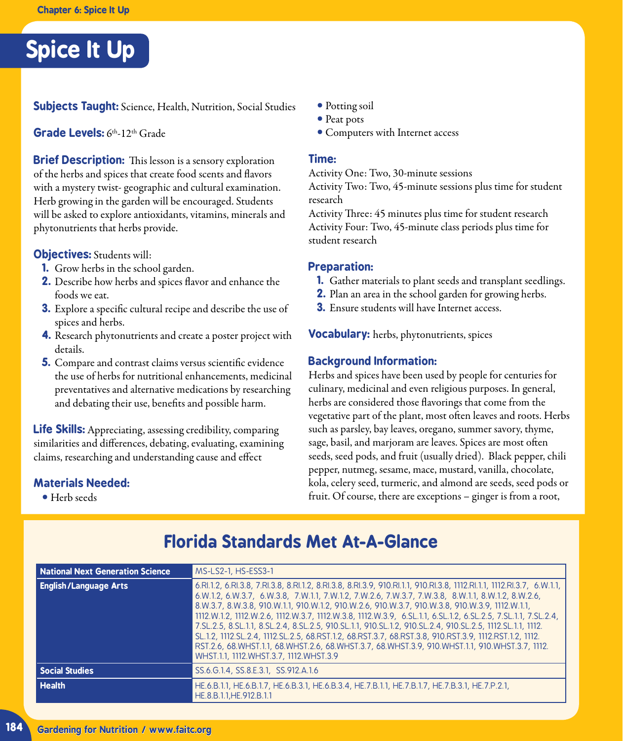

**Subjects Taught:** Science, Health, Nutrition, Social Studies

## **Grade Levels:** 6th-12th Grade

**Brief Description:** This lesson is a sensory exploration of the herbs and spices that create food scents and flavors with a mystery twist- geographic and cultural examination. Herb growing in the garden will be encouraged. Students will be asked to explore antioxidants, vitamins, minerals and phytonutrients that herbs provide.

## **Objectives:** Students will:

- **1.** Grow herbs in the school garden.
- **2.** Describe how herbs and spices flavor and enhance the foods we eat.
- **3.** Explore a specific cultural recipe and describe the use of spices and herbs.
- **4.** Research phytonutrients and create a poster project with details.
- **5.** Compare and contrast claims versus scientific evidence the use of herbs for nutritional enhancements, medicinal preventatives and alternative medications by researching and debating their use, benefits and possible harm.

**Life Skills:** Appreciating, assessing credibility, comparing similarities and differences, debating, evaluating, examining claims, researching and understanding cause and effect

## **Materials Needed:**

**•** Herb seeds

- Potting soil
- Peat pots
- **•** Computers with Internet access

#### **Time:**

Activity One: Two, 30-minute sessions Activity Two: Two, 45-minute sessions plus time for student research

Activity Three: 45 minutes plus time for student research Activity Four: Two, 45-minute class periods plus time for student research

#### **Preparation:**

- **1.** Gather materials to plant seeds and transplant seedlings.
- **2.** Plan an area in the school garden for growing herbs.
- **3.** Ensure students will have Internet access.

**Vocabulary:** herbs, phytonutrients, spices

## **Background Information:**

Herbs and spices have been used by people for centuries for culinary, medicinal and even religious purposes. In general, herbs are considered those flavorings that come from the vegetative part of the plant, most often leaves and roots. Herbs such as parsley, bay leaves, oregano, summer savory, thyme, sage, basil, and marjoram are leaves. Spices are most often seeds, seed pods, and fruit (usually dried). Black pepper, chili pepper, nutmeg, sesame, mace, mustard, vanilla, chocolate, kola, celery seed, turmeric, and almond are seeds, seed pods or fruit. Of course, there are exceptions – ginger is from a root,

| <b>National Next Generation Science</b> | MS-LS2-1, HS-ESS3-1                                                                                                                                                                                                                                                                                                                                                                                                                                                                                                                                                                                                                                                                                                                                                                                                    |
|-----------------------------------------|------------------------------------------------------------------------------------------------------------------------------------------------------------------------------------------------------------------------------------------------------------------------------------------------------------------------------------------------------------------------------------------------------------------------------------------------------------------------------------------------------------------------------------------------------------------------------------------------------------------------------------------------------------------------------------------------------------------------------------------------------------------------------------------------------------------------|
| <b>English/Language Arts</b>            | 6.RI.1.2, 6.RI.3.8, 7.RI.3.8, 8.RI.1.2, 8.RI.3.8, 8.RI.3.9, 910.RI.1.1, 910.RI.3.8, 1112.RI.1.1, 1112.RI.3.7, 6.W.1.1,<br>6.W.1.2, 6.W.3.7, 6.W.3.8, 7.W.1.1, 7.W.1.2, 7.W.2.6, 7.W.3.7, 7.W.3.8, 8.W.1.1, 8.W.1.2, 8.W.2.6,<br>8.W.3.7, 8.W.3.8, 910.W.1.1, 910.W.1.2, 910.W.2.6, 910.W.3.7, 910.W.3.8, 910.W.3.9, 1112.W.1.1,<br>1112.W.1.2, 1112.W.2.6, 1112.W.3.7, 1112.W.3.8, 1112.W.3.9, 6.SL.1.1, 6.SL.1.2, 6.SL.2.5, 7.SL.1.1, 7.SL.2.4,<br>7.SL.2.5, 8.SL.1.1, 8.SL.2.4, 8.SL.2.5, 910.SL.1.1, 910.SL.1.2, 910.SL.2.4, 910.SL.2.5, 1112.SL.1.1, 1112.<br>SL.1.2, 1112.SL.2.4, 1112.SL.2.5, 68.RST.1.2, 68.RST.3.7, 68.RST.3.8, 910.RST.3.9, 1112.RST.1.2, 1112.<br>RST.2.6, 68.WHST.1.1, 68.WHST.2.6, 68.WHST.3.7, 68.WHST.3.9, 910.WHST.1.1, 910.WHST.3.7, 1112.<br>WHST.1.1, 1112. WHST.3.7, 1112. WHST.3.9 |
| <b>Social Studies</b>                   | SS.6.G.1.4, SS.8.E.3.1, SS.912.A.1.6                                                                                                                                                                                                                                                                                                                                                                                                                                                                                                                                                                                                                                                                                                                                                                                   |
| <b>Health</b>                           | HE.6.B.1.1, HE.6.B.1.7, HE.6.B.3.1, HE.6.B.3.4, HE.7.B.1.1, HE.7.B.1.7, HE.7.B.3.1, HE.7.P.2.1,<br>HE.8.B.1.1, HE.912.B.1.1                                                                                                                                                                                                                                                                                                                                                                                                                                                                                                                                                                                                                                                                                            |

# **Florida Standards Met At-A-Glance**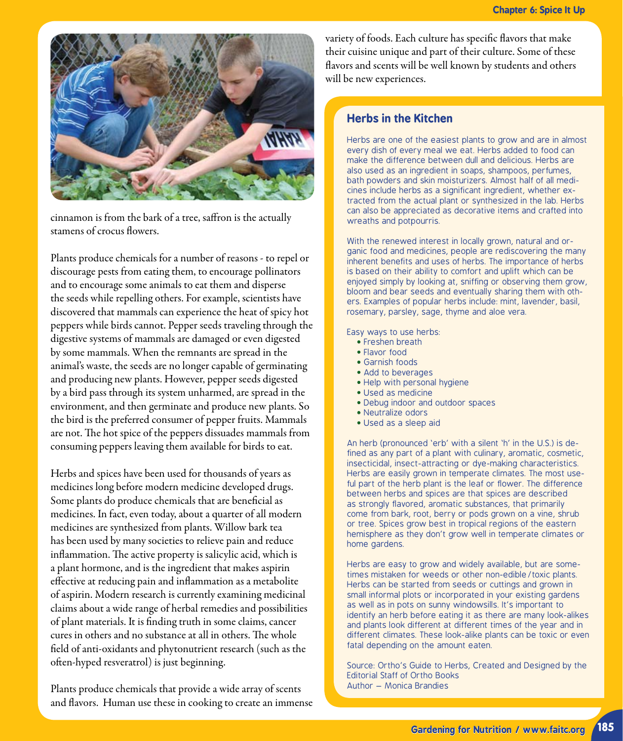

cinnamon is from the bark of a tree, saffron is the actually stamens of crocus flowers.

Plants produce chemicals for a number of reasons - to repel or discourage pests from eating them, to encourage pollinators and to encourage some animals to eat them and disperse the seeds while repelling others. For example, scientists have discovered that mammals can experience the heat of spicy hot peppers while birds cannot. Pepper seeds traveling through the digestive systems of mammals are damaged or even digested by some mammals. When the remnants are spread in the animal's waste, the seeds are no longer capable of germinating and producing new plants. However, pepper seeds digested by a bird pass through its system unharmed, are spread in the environment, and then germinate and produce new plants. So the bird is the preferred consumer of pepper fruits. Mammals are not. The hot spice of the peppers dissuades mammals from consuming peppers leaving them available for birds to eat.

Herbs and spices have been used for thousands of years as medicines long before modern medicine developed drugs. Some plants do produce chemicals that are beneficial as medicines. In fact, even today, about a quarter of all modern medicines are synthesized from plants. Willow bark tea has been used by many societies to relieve pain and reduce inflammation. The active property is salicylic acid, which is a plant hormone, and is the ingredient that makes aspirin effective at reducing pain and inflammation as a metabolite of aspirin. Modern research is currently examining medicinal claims about a wide range of herbal remedies and possibilities of plant materials. It is finding truth in some claims, cancer cures in others and no substance at all in others. The whole field of anti-oxidants and phytonutrient research (such as the often-hyped resveratrol) is just beginning.

Plants produce chemicals that provide a wide array of scents and flavors. Human use these in cooking to create an immense variety of foods. Each culture has specific flavors that make their cuisine unique and part of their culture. Some of these flavors and scents will be well known by students and others will be new experiences.

# **Herbs in the Kitchen**

Herbs are one of the easiest plants to grow and are in almost every dish of every meal we eat. Herbs added to food can make the difference between dull and delicious. Herbs are also used as an ingredient in soaps, shampoos, perfumes, bath powders and skin moisturizers. Almost half of all medicines include herbs as a significant ingredient, whether extracted from the actual plant or synthesized in the lab. Herbs can also be appreciated as decorative items and crafted into wreaths and potpourris.

With the renewed interest in locally grown, natural and organic food and medicines, people are rediscovering the many inherent benefits and uses of herbs. The importance of herbs is based on their ability to comfort and uplift which can be enjoyed simply by looking at, sniffing or observing them grow, bloom and bear seeds and eventually sharing them with others. Examples of popular herbs include: mint, lavender, basil, rosemary, parsley, sage, thyme and aloe vera.

Easy ways to use herbs:

- Freshen breath
- Flavor food
- Garnish foods
- Add to beverages
- Help with personal hygiene
- Used as medicine
- Debug indoor and outdoor spaces
- Neutralize odors
- • Used as a sleep aid

An herb (pronounced 'erb' with a silent 'h' in the U.S.) is defined as any part of a plant with culinary, aromatic, cosmetic, insecticidal, insect-attracting or dye-making characteristics. Herbs are easily grown in temperate climates. The most useful part of the herb plant is the leaf or flower. The difference between herbs and spices are that spices are described as strongly flavored, aromatic substances, that primarily come from bark, root, berry or pods grown on a vine, shrub or tree. Spices grow best in tropical regions of the eastern hemisphere as they don't grow well in temperate climates or home gardens.

Herbs are easy to grow and widely available, but are sometimes mistaken for weeds or other non-edible/toxic plants. Herbs can be started from seeds or cuttings and grown in small informal plots or incorporated in your existing gardens as well as in pots on sunny windowsills. It's important to identify an herb before eating it as there are many look-alikes and plants look different at different times of the year and in different climates. These look-alike plants can be toxic or even fatal depending on the amount eaten.

Source: Ortho's Guide to Herbs, Created and Designed by the Editorial Staff of Ortho Books Author – Monica Brandies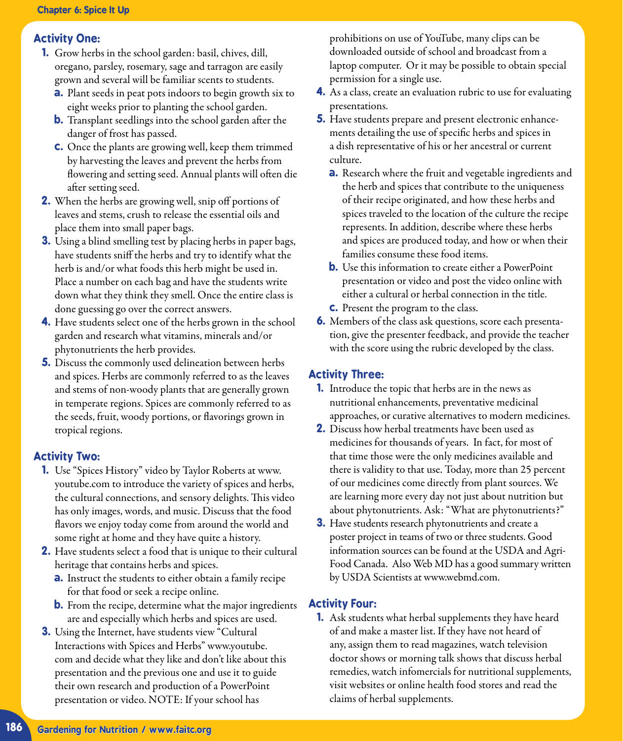# **Activity One:**

- **1.** Grow herbs in the school garden: basil, chives, dill, oregano, parsley, rosemary, sage and tarragon are easily grown and several will be familiar scents to students.
	- **a.** Plant seeds in peat pots indoors to begin growth six to eight weeks prior to planting the school garden.
	- **b.** Transplant seedlings into the school garden after the danger of frost has passed.
	- **c.** Once the plants are growing well, keep them trimmed by harvesting the leaves and prevent the herbs from flowering and setting seed. Annual plants will often die after setting seed.
- **2.** When the herbs are growing well, snip off portions of leaves and stems, crush to release the essential oils and place them into small paper bags.
- **3.** Using a blind smelling test by placing herbs in paper bags, have students sniff the herbs and try to identify what the herb is and/or what foods this herb might be used in. Place a number on each bag and have the students write down what they think they smell. Once the entire class is done guessing go over the correct answers.
- **4.** Have students select one of the herbs grown in the school garden and research what vitamins, minerals and/or phytonutrients the herb provides.
- **5.** Discuss the commonly used delineation between herbs and spices. Herbs are commonly referred to as the leaves and stems of non-woody plants that are generally grown in temperate regions. Spices are commonly referred to as the seeds, fruit, woody portions, or flavorings grown in tropical regions.

# **Activity Two:**

- **1.** Use "Spices History" video by Taylor Roberts at www. youtube.com to introduce the variety of spices and herbs, the cultural connections, and sensory delights. This video has only images, words, and music. Discuss that the food flavors we enjoy today come from around the world and some right at home and they have quite a history.
- **2.** Have students select a food that is unique to their cultural heritage that contains herbs and spices.
	- **a.** Instruct the students to either obtain a family recipe for that food or seek a recipe online.
	- **b.** From the recipe, determine what the major ingredients are and especially which herbs and spices are used.
- **3.** Using the Internet, have students view "Cultural Interactions with Spices and Herbs" www.youtube. com and decide what they like and don't like about this presentation and the previous one and use it to guide their own research and production of a PowerPoint presentation or video. NOTE: If your school has

prohibitions on use of YouTube, many clips can be downloaded outside of school and broadcast from a laptop computer. Or it may be possible to obtain special permission for a single use.

- **4.** As a class, create an evaluation rubric to use for evaluating presentations.
- **5.** Have students prepare and present electronic enhancements detailing the use of specific herbs and spices in a dish representative of his or her ancestral or current culture.
	- **a.** Research where the fruit and vegetable ingredients and the herb and spices that contribute to the uniqueness of their recipe originated, and how these herbs and spices traveled to the location of the culture the recipe represents. In addition, describe where these herbs and spices are produced today, and how or when their families consume these food items.
	- **b.** Use this information to create either a PowerPoint presentation or video and post the video online with either a cultural or herbal connection in the title.
	- **c.** Present the program to the class.
- **6.** Members of the class ask questions, score each presentation, give the presenter feedback, and provide the teacher with the score using the rubric developed by the class.

# **Activity Three:**

- **1.** Introduce the topic that herbs are in the news as nutritional enhancements, preventative medicinal approaches, or curative alternatives to modern medicines.
- **2.** Discuss how herbal treatments have been used as medicines for thousands of years. In fact, for most of that time those were the only medicines available and there is validity to that use. Today, more than 25 percent of our medicines come directly from plant sources. We are learning more every day not just about nutrition but about phytonutrients. Ask: "What are phytonutrients?"
- **3.** Have students research phytonutrients and create a poster project in teams of two or three students. Good information sources can be found at the USDA and Agri-Food Canada. Also Web MD has a good summary written by USDA Scientists at www.webmd.com.

# **Activity Four:**

**1.** Ask students what herbal supplements they have heard of and make a master list. If they have not heard of any, assign them to read magazines, watch television doctor shows or morning talk shows that discuss herbal remedies, watch infomercials for nutritional supplements, visit websites or online health food stores and read the claims of herbal supplements.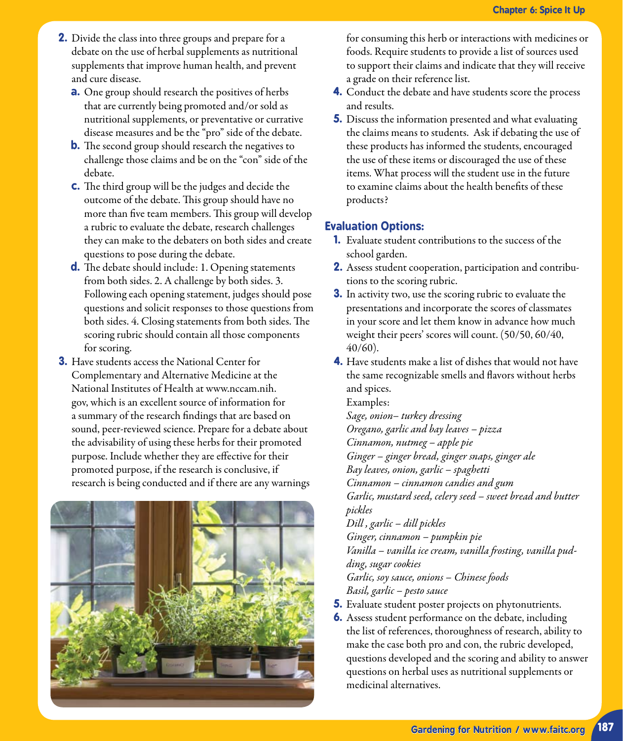- **2.** Divide the class into three groups and prepare for a debate on the use of herbal supplements as nutritional supplements that improve human health, and prevent and cure disease.
	- **a.** One group should research the positives of herbs that are currently being promoted and/or sold as nutritional supplements, or preventative or currative disease measures and be the "pro" side of the debate.
	- **b.** The second group should research the negatives to challenge those claims and be on the "con" side of the debate.
	- **c.** The third group will be the judges and decide the outcome of the debate. This group should have no more than five team members. This group will develop a rubric to evaluate the debate, research challenges they can make to the debaters on both sides and create questions to pose during the debate.
	- **d.** The debate should include: 1. Opening statements from both sides. 2. A challenge by both sides. 3. Following each opening statement, judges should pose questions and solicit responses to those questions from both sides. 4. Closing statements from both sides. The scoring rubric should contain all those components for scoring.
- **3.** Have students access the National Center for Complementary and Alternative Medicine at the National Institutes of Health at www.nccam.nih. gov, which is an excellent source of information for a summary of the research findings that are based on sound, peer-reviewed science. Prepare for a debate about the advisability of using these herbs for their promoted purpose. Include whether they are effective for their promoted purpose, if the research is conclusive, if research is being conducted and if there are any warnings



for consuming this herb or interactions with medicines or foods. Require students to provide a list of sources used to support their claims and indicate that they will receive a grade on their reference list.

- **4.** Conduct the debate and have students score the process and results.
- **5.** Discuss the information presented and what evaluating the claims means to students. Ask if debating the use of these products has informed the students, encouraged the use of these items or discouraged the use of these items. What process will the student use in the future to examine claims about the health benefits of these products?

# **Evaluation Options:**

- **1.** Evaluate student contributions to the success of the school garden.
- **2.** Assess student cooperation, participation and contributions to the scoring rubric.
- **3.** In activity two, use the scoring rubric to evaluate the presentations and incorporate the scores of classmates in your score and let them know in advance how much weight their peers' scores will count. (50/50, 60/40, 40/60).
- **4.** Have students make a list of dishes that would not have the same recognizable smells and flavors without herbs and spices.

Examples: *Sage, onion– turkey dressing Oregano, garlic and bay leaves – pizza Cinnamon, nutmeg – apple pie Ginger – ginger bread, ginger snaps, ginger ale Bay leaves, onion, garlic – spaghetti Cinnamon – cinnamon candies and gum Garlic, mustard seed, celery seed – sweet bread and butter pickles Dill , garlic – dill pickles Ginger, cinnamon – pumpkin pie Vanilla – vanilla ice cream, vanilla frosting, vanilla pudding, sugar cookies Garlic, soy sauce, onions – Chinese foods Basil, garlic – pesto sauce*

- **5.** Evaluate student poster projects on phytonutrients.
- **6.** Assess student performance on the debate, including the list of references, thoroughness of research, ability to make the case both pro and con, the rubric developed, questions developed and the scoring and ability to answer questions on herbal uses as nutritional supplements or medicinal alternatives.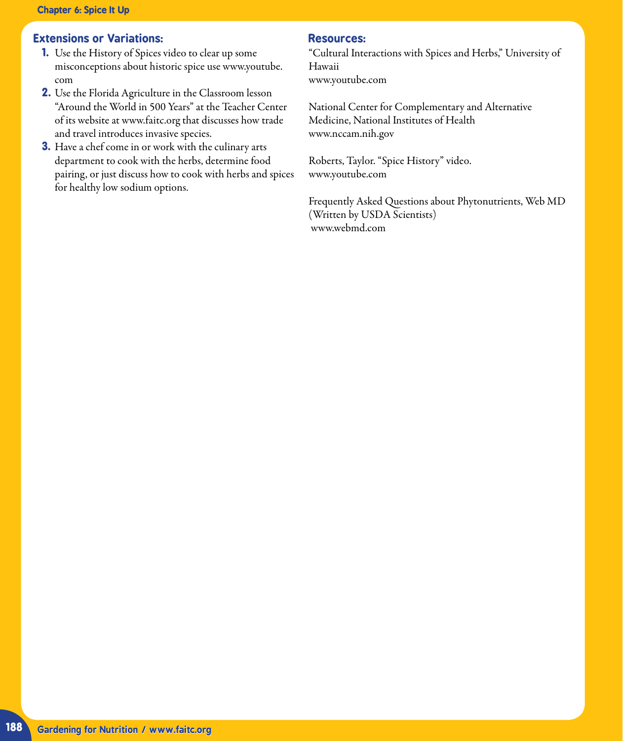# **Extensions or Variations:**

- **1.** Use the History of Spices video to clear up some misconceptions about historic spice use www.youtube. com
- **2.** Use the Florida Agriculture in the Classroom lesson "Around the World in 500 Years" at the Teacher Center of its website at www.faitc.org that discusses how trade and travel introduces invasive species.
- **3.** Have a chef come in or work with the culinary arts department to cook with the herbs, determine food pairing, or just discuss how to cook with herbs and spices for healthy low sodium options.

## **Resources:**

"Cultural Interactions with Spices and Herbs," University of Hawaii www.youtube.com

National Center for Complementary and Alternative Medicine, National Institutes of Health www.nccam.nih.gov

Roberts, Taylor. "Spice History" video. www.youtube.com

Frequently Asked Questions about Phytonutrients, Web MD (Written by USDA Scientists) www.webmd.com